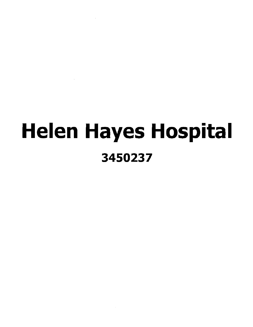# Helen Hayes Hospital 3450237

 $\mathcal{L}^{\text{max}}_{\text{max}}$  ,  $\mathcal{L}^{\text{max}}_{\text{max}}$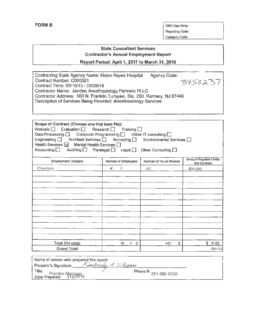FORM B OSC Use Only: Reporting Code: Category Code:

# State Consultant Services Contractor's Annual Employment Report

Report Period: April 1, 2017 to March 31, 2018

| Contracting State Agency Name: Helen Hayes Hospital                     | Agency Code: :: |
|-------------------------------------------------------------------------|-----------------|
| Contract Number: C000521                                                | 3450237         |
| Contract Term: 05/10/13 - 05/09/18                                      |                 |
| Contractor Name: Jandee Anesthesiology Partners PLLC                    |                 |
| Contractor Address: 500 N. Franklin Tumpike, Ste. 200, Ramsey, NJ 07446 |                 |
| Description of Services Being Provided: Anesthesiology Services         |                 |
|                                                                         |                 |
|                                                                         |                 |

| Scope of Contract (Choose one that best fits):<br>Analysis D Evaluation D Research D Training D<br>Data Processing $\Box$ Computer Programming $\Box$ Other IT consulting $\Box$<br>Engineering □ Architect Services □ Surveying □<br>Environmental Services $\Box$<br>Health Services $\boxtimes$ Mental Health Services $\Box$<br>Accounting   Auditing   Paralegal   Legal  <br>Other Consulting $\Box$ |                     |                        |                                      |
|------------------------------------------------------------------------------------------------------------------------------------------------------------------------------------------------------------------------------------------------------------------------------------------------------------------------------------------------------------------------------------------------------------|---------------------|------------------------|--------------------------------------|
| <b>Employment Category</b>                                                                                                                                                                                                                                                                                                                                                                                 | Number of Employees | Number of Hours Worked | Amount Payable Under<br>the Contract |
| Physicians                                                                                                                                                                                                                                                                                                                                                                                                 | 5<br>Ж.             | 480                    | \$90,000                             |
|                                                                                                                                                                                                                                                                                                                                                                                                            |                     |                        |                                      |
|                                                                                                                                                                                                                                                                                                                                                                                                            |                     |                        |                                      |
|                                                                                                                                                                                                                                                                                                                                                                                                            |                     |                        |                                      |
|                                                                                                                                                                                                                                                                                                                                                                                                            |                     |                        |                                      |
|                                                                                                                                                                                                                                                                                                                                                                                                            |                     |                        |                                      |
|                                                                                                                                                                                                                                                                                                                                                                                                            |                     |                        |                                      |
|                                                                                                                                                                                                                                                                                                                                                                                                            |                     |                        |                                      |
|                                                                                                                                                                                                                                                                                                                                                                                                            |                     |                        |                                      |
|                                                                                                                                                                                                                                                                                                                                                                                                            |                     |                        |                                      |
|                                                                                                                                                                                                                                                                                                                                                                                                            |                     |                        |                                      |
| Total this page                                                                                                                                                                                                                                                                                                                                                                                            | 4Х<br>5<br>$\Omega$ | 480<br>0               | \$0.00                               |
| <b>Grand Total</b>                                                                                                                                                                                                                                                                                                                                                                                         |                     |                        | \$90,000                             |

| Name of person who prepared this report:<br>Preparer's Signature: <i>Kumberly A Whamn</i> |                       |  |
|-------------------------------------------------------------------------------------------|-----------------------|--|
|                                                                                           |                       |  |
| Title: Practice Manager<br>  Date Prepared:   912/2018                                    | Phone #: 551-502-8358 |  |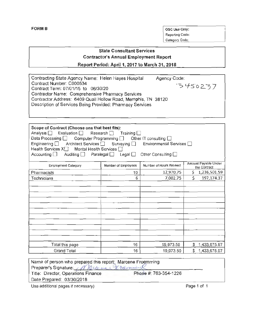**FORM B** OSC Use Only: Reporting Code: Category Code:

# **State Consultant Services Contractor's Annual Employment Report**

**Report Period: April 1, 2017 to March 31, 2018** 

| Contracting State Agency Name: Helen Hayes Hospital           | Agency Code: |
|---------------------------------------------------------------|--------------|
| Contract Number: C000534                                      | 73450237     |
| Contract Term: 07/01/15 to 06/30/20                           |              |
| <b>Contractor Name: Comprehensive Pharmacy Services</b>       |              |
| Contractor Address: 6409 Quail Hollow Road, Memphis, TN 38120 |              |
| Description of Services Being Provided: Pharmacy Services     |              |
|                                                               |              |

| Scope of Contract (Choose one that best fits):<br>Analysis $\Box$ Evaluation $\Box$ Research $\Box$ Training $\Box$<br>Data Processing □ Computer Programming □ Other IT consulting □<br>Engineering □ Architect Services □ Surveying □ Environmental Services □<br>Health Services X <sup>1</sup> Mental Health Services <sup>1</sup><br>Accounting $\Box$ Auditing $\Box$ Paralegal $\Box$ Legal $\Box$ Other Consulting $\Box$ |                     |                        |                                      |
|-----------------------------------------------------------------------------------------------------------------------------------------------------------------------------------------------------------------------------------------------------------------------------------------------------------------------------------------------------------------------------------------------------------------------------------|---------------------|------------------------|--------------------------------------|
| <b>Employment Category</b>                                                                                                                                                                                                                                                                                                                                                                                                        | Number of Employees | Number of Hours Worked | Amount Payable Under<br>the Contract |
| Pharmacists                                                                                                                                                                                                                                                                                                                                                                                                                       | 10                  | 12,970.75              | 1,236,501.59<br>\$.                  |
| Technicians                                                                                                                                                                                                                                                                                                                                                                                                                       | 6                   | 7,002.75               | Ś.<br>197,174.37                     |
|                                                                                                                                                                                                                                                                                                                                                                                                                                   |                     |                        |                                      |
| Total this page                                                                                                                                                                                                                                                                                                                                                                                                                   | 16                  | 19,973.50              | 1,433,675.97<br>\$                   |
| <b>Grand Total</b>                                                                                                                                                                                                                                                                                                                                                                                                                | 16                  | 19,973.50              | \$<br>1,433,675.97                   |

| Name of person who prepared this report: Marcene Froemming<br>Preparer's Signature Marcone Tremmy                      |                       |           |
|------------------------------------------------------------------------------------------------------------------------|-----------------------|-----------|
| Title: Director, Operations Finance                                                                                    | Phone #: 763-354-1226 |           |
| Date Prepared: 03/30/2018                                                                                              |                       |           |
| $\mathbf{H}$ and $\mathbf{H}$ and $\mathbf{H}$ are all properties and $\mathbf{H}$ are all properties and $\mathbf{H}$ |                       | $D = 4.5$ |

Use additional pages if necessary) example the control of the Page 1 of 1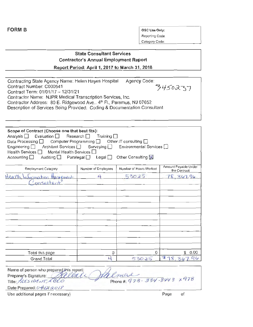| ۰.<br>г<br>. .<br>יו י |  |
|------------------------|--|
|------------------------|--|

**OSC Use Only:** Reporting Code: Category Code:

## State Consultant Services Contractor's Annual Employment Report

Report Period: April 1, 2017 to March 31, 2018

| Contracting State Agency Name: Helen Hayes Hospital<br>Contract Number: C000541<br>Contract Term: 01/01/17 - 12/31/21<br>Contractor Name: NJPR Medical Transcription Services, Inc.<br>Contractor Address: 80 E. Ridgewood Ave., 4th Fl., Paramus, NJ 07652<br>Description of Services Being Provided: Coding & Documentation Consultant |                                                                                            | Agency Code:                                                                 | 3450237                              |
|------------------------------------------------------------------------------------------------------------------------------------------------------------------------------------------------------------------------------------------------------------------------------------------------------------------------------------------|--------------------------------------------------------------------------------------------|------------------------------------------------------------------------------|--------------------------------------|
|                                                                                                                                                                                                                                                                                                                                          |                                                                                            |                                                                              |                                      |
| Scope of Contract (Choose one that best fits):<br>Evaluation $\Box$<br>Analysis □<br>Computer Programming $\Box$<br>Data Processing $\Box$<br>Engineering $\square$<br>Architect Services □<br>Health Services $\Box$<br>Mental Health Services [<br>Accounting $\square$<br>Auditing $\Box$                                             | Research $\Box$<br>Training $\Box$<br>Surveying $\Box$<br>Paralegal $\Box$<br>Legal $\Box$ | Other IT consulting $\Box$<br>Environmental Services [<br>Other Consulting X |                                      |
| <b>Employment Category</b>                                                                                                                                                                                                                                                                                                               | Number of Employees                                                                        | Number of Hours Worked                                                       | Amount Payable Under<br>the Contract |
| Health<br>formation Manuement<br>onsultan                                                                                                                                                                                                                                                                                                | ⊥                                                                                          | 530.25                                                                       | 78.367.96                            |
|                                                                                                                                                                                                                                                                                                                                          |                                                                                            |                                                                              |                                      |
| Total this page                                                                                                                                                                                                                                                                                                                          | Û                                                                                          | 0                                                                            | £<br>-9.99                           |
| <b>Grand Total</b>                                                                                                                                                                                                                                                                                                                       | ப                                                                                          | 530.25                                                                       | 챼<br>8<br>, 367.                     |
|                                                                                                                                                                                                                                                                                                                                          |                                                                                            |                                                                              |                                      |

| Name of person who prepared this report: |                                  |
|------------------------------------------|----------------------------------|
| Preparer's Signature: Allelale           | ht emere                         |
| Title: MESIDENT CEO                      | Phone #: 973 - 334 - 344 3 x 978 |
| Date Prepared: 04/12/2018                |                                  |

Use additional pages if necessary) example of the extra state of the extra state of the extra state of the extra state of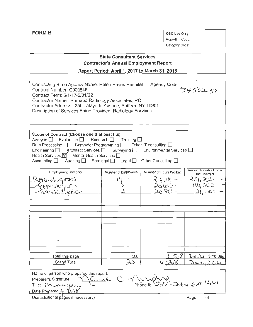Reporting Code: Category Code:

## State Consultant Services Contractor's Annual Employment Report

Report Period: April 1, 2017 to March 31, 2018

| Contracting State Agency Name: Helen Hayes Hospital         | Agency Code: |
|-------------------------------------------------------------|--------------|
| Contract Number: C000546                                    | 3450237      |
| Contract Term: 6/1/17-5/31/22                               |              |
| Contractor Name: Ramapo Radiology Associates, PC            |              |
| Contractor Address: 255 Lafayette Avenue, Suffern, NY 10901 |              |
| Description of Services Being Provided: Radiology Services  |              |
|                                                             |              |

| Scope of Contract (Choose one that best fits):                                                                                                     |                                               |                            |                                      |
|----------------------------------------------------------------------------------------------------------------------------------------------------|-----------------------------------------------|----------------------------|--------------------------------------|
| Analysis $\Box$ Evaluation $\Box$ Research $\Box$ Training $\Box$<br>Data Processing $\Box$ Computer Programming $\Box$ Other IT consulting $\Box$ |                                               |                            |                                      |
| Engineering □ 、Architect Services □ Surveying □                                                                                                    |                                               | Environmental Services □   |                                      |
| Health Services $\boxtimes$ Mental Health Services $\Box$                                                                                          |                                               |                            |                                      |
| Accounting $\square$                                                                                                                               | Auditing $\Box$ Paralegal $\Box$ Legal $\Box$ | Other Consulting $\square$ |                                      |
| <b>Employment Category</b>                                                                                                                         | Number of Employees                           | Number of Hours Worked     | Amount Payable Under<br>the Contract |
| ADIOLOGISKS                                                                                                                                        |                                               |                            | 31.3C                                |
| Pennologists                                                                                                                                       |                                               |                            |                                      |
| scei abon                                                                                                                                          |                                               |                            |                                      |
|                                                                                                                                                    |                                               |                            |                                      |
|                                                                                                                                                    |                                               |                            |                                      |
|                                                                                                                                                    |                                               |                            |                                      |
|                                                                                                                                                    |                                               |                            |                                      |
|                                                                                                                                                    |                                               |                            |                                      |
|                                                                                                                                                    |                                               |                            |                                      |
|                                                                                                                                                    |                                               |                            |                                      |
|                                                                                                                                                    |                                               |                            |                                      |
|                                                                                                                                                    |                                               |                            |                                      |
|                                                                                                                                                    |                                               |                            |                                      |
| Total this page                                                                                                                                    | 20                                            | 57.6                       | 363.1                                |
| Grand Total                                                                                                                                        |                                               |                            | 36,                                  |

Name of person who prepared this report: Preparer'sSignature: ~k C ~v~ J,. <sup>1</sup> , Preparer's Signature: <u>Warre</u> C. Murphy<br>Title: Marc-ge Date Prepared:  $4\sqrt{318}$ Use additional pages if necessary) **Page** of **Page** of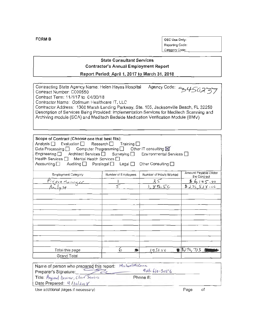OSC Use Only: Reporting Code: Category Code:

#### **State Consultant Services Contractor's Annual Employment Report**

Report Period: April 1, 2017 to March 31, 2018

| Contracting State Agency Name: Helen Hayes Hospital                                       | Agency Code: 43450237 |
|-------------------------------------------------------------------------------------------|-----------------------|
| Contract Number: C000550                                                                  |                       |
| Contract Term: 11/1/17 to 04/30/18                                                        |                       |
| Contractor Name: Optimum Healthcare IT, LLC                                               |                       |
| Contractor Address: 1300 Marsh Landing Parkway, Ste. 105, Jacksonville Beach, FL 32250    |                       |
| Description of Services Being Provided: Implementation Services for Meditech Scanning and |                       |
| Archiving module (SCA) and Meditech Bedside Medication Verification Module (BMV)          |                       |
|                                                                                           |                       |

| Scope of Contract (Choose one that best fits):<br>Analysis $\Box$ Evaluation $\Box$ Research $\Box$ Training $\Box$<br>Data Processing $\Box$ Computer Programming $\Box$ Other IT consulting $\boxtimes$<br>Engineering <b>D</b> Architect Services <b>D</b> Surveying <b>D</b> Environmental Services <b>D</b><br>Health Services □ Mental Health Services □<br>Accounting in Auditing in Paralegal in Legal in Other Consulting in |                     |                        |                                      |
|---------------------------------------------------------------------------------------------------------------------------------------------------------------------------------------------------------------------------------------------------------------------------------------------------------------------------------------------------------------------------------------------------------------------------------------|---------------------|------------------------|--------------------------------------|
| <b>Employment Category</b>                                                                                                                                                                                                                                                                                                                                                                                                            | Number of Employees | Number of Hours Worked | Amount Payable Under<br>the Contract |
|                                                                                                                                                                                                                                                                                                                                                                                                                                       |                     | 35                     | 46,195.00                            |
| <u>Project Manager</u><br>Analyst                                                                                                                                                                                                                                                                                                                                                                                                     |                     | 1,896.50               | 82765800                             |
|                                                                                                                                                                                                                                                                                                                                                                                                                                       |                     |                        |                                      |
|                                                                                                                                                                                                                                                                                                                                                                                                                                       |                     |                        |                                      |
|                                                                                                                                                                                                                                                                                                                                                                                                                                       |                     |                        |                                      |
|                                                                                                                                                                                                                                                                                                                                                                                                                                       |                     |                        |                                      |
|                                                                                                                                                                                                                                                                                                                                                                                                                                       |                     |                        |                                      |
|                                                                                                                                                                                                                                                                                                                                                                                                                                       |                     |                        |                                      |
|                                                                                                                                                                                                                                                                                                                                                                                                                                       |                     |                        |                                      |
|                                                                                                                                                                                                                                                                                                                                                                                                                                       |                     |                        |                                      |
|                                                                                                                                                                                                                                                                                                                                                                                                                                       |                     |                        |                                      |
|                                                                                                                                                                                                                                                                                                                                                                                                                                       |                     |                        |                                      |
|                                                                                                                                                                                                                                                                                                                                                                                                                                       |                     |                        |                                      |
| Total this page                                                                                                                                                                                                                                                                                                                                                                                                                       | 6<br>夆              | 193150                 | ■胤76,713                             |
| Grand Total                                                                                                                                                                                                                                                                                                                                                                                                                           |                     |                        |                                      |

| Narre of person who prepared this report: Michael McCann |                    |      |    |
|----------------------------------------------------------|--------------------|------|----|
| Preparer's Signature:                                    | $904 - 610 - 3056$ |      |    |
| Title Megional Director, Client Services                 | Phone #:           |      |    |
| Date Prepared: 4/lolders                                 |                    |      |    |
| Use additional pages if necessary)                       |                    | Page | οt |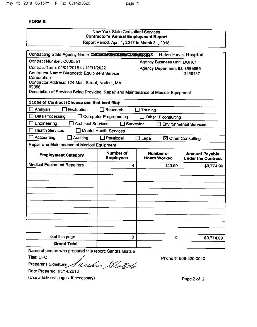page 1

#### **FORM B**

|                                                                                                                                                                                                                                                             | <b>New York State Consultant Services</b><br><b>Contractor's Annual Employment Report</b><br>Report Period: April 1, 2017 to March 31, 2018 |                                    |                                                    |
|-------------------------------------------------------------------------------------------------------------------------------------------------------------------------------------------------------------------------------------------------------------|---------------------------------------------------------------------------------------------------------------------------------------------|------------------------------------|----------------------------------------------------|
| Contracting State Agency Name: Office of the State Contract Mer                                                                                                                                                                                             |                                                                                                                                             |                                    | <b>Helen Hayes Hospital</b>                        |
| Contract Number: C000551                                                                                                                                                                                                                                    |                                                                                                                                             | <b>Agency Business Unit: DOH01</b> |                                                    |
| Contract Term: 01/01/2018 to 12/31/2022<br>Contractor Name: Diagnostic Equipment Service<br>Corporation<br>Contractor Address: 124 Main Street, Norfolk, MA<br>02056<br>Description of Services Being Provided: Repair and Maintenance of Medical Equipment |                                                                                                                                             | Agency Department ID: 3450000      | 3450237                                            |
| Scope of Contract (Choose one that best fits):                                                                                                                                                                                                              |                                                                                                                                             |                                    |                                                    |
| Analysis<br>Evaluation                                                                                                                                                                                                                                      | Research                                                                                                                                    | Training                           |                                                    |
| Data Processing                                                                                                                                                                                                                                             | <b>Computer Programming</b>                                                                                                                 | Other IT consulting                |                                                    |
| Engineering<br><b>Architect Services</b><br>Surveying<br><b>Environmental Services</b>                                                                                                                                                                      |                                                                                                                                             |                                    |                                                    |
| <b>Health Services</b>                                                                                                                                                                                                                                      | <b>Mental Health Services</b>                                                                                                               |                                    |                                                    |
| Accounting<br>Auditing                                                                                                                                                                                                                                      | Paralegal                                                                                                                                   | Legal                              | $\boxtimes$ Other Consulting                       |
| Repair and Maintenance of Medical Equipment                                                                                                                                                                                                                 |                                                                                                                                             |                                    |                                                    |
| <b>Employment Category</b>                                                                                                                                                                                                                                  | Number of<br><b>Employees</b>                                                                                                               | Number of<br><b>Hours Worked</b>   | <b>Amount Payable</b><br><b>Under the Contract</b> |
| <b>Medical Equipment Repairers</b>                                                                                                                                                                                                                          | 4                                                                                                                                           | 140.50                             | \$9,774.99                                         |
|                                                                                                                                                                                                                                                             |                                                                                                                                             |                                    |                                                    |
|                                                                                                                                                                                                                                                             |                                                                                                                                             |                                    |                                                    |
|                                                                                                                                                                                                                                                             |                                                                                                                                             |                                    |                                                    |
|                                                                                                                                                                                                                                                             |                                                                                                                                             |                                    |                                                    |
|                                                                                                                                                                                                                                                             |                                                                                                                                             |                                    |                                                    |
|                                                                                                                                                                                                                                                             |                                                                                                                                             |                                    |                                                    |
|                                                                                                                                                                                                                                                             |                                                                                                                                             |                                    |                                                    |
|                                                                                                                                                                                                                                                             |                                                                                                                                             |                                    |                                                    |
|                                                                                                                                                                                                                                                             |                                                                                                                                             |                                    |                                                    |
| Total this page                                                                                                                                                                                                                                             | 0                                                                                                                                           | 0                                  | \$9,774.99                                         |
| <b>Grand Total</b>                                                                                                                                                                                                                                          |                                                                                                                                             |                                    |                                                    |

Name of person who prepared this report: Sandra Glatzle

**Title: CFO** 

Preparer's Signature: Saulun Gluys

Phone #: 508-520-0040

Date Prepared: 05/14/2018

(Use additional pages, if necessary)

Page 2 of 2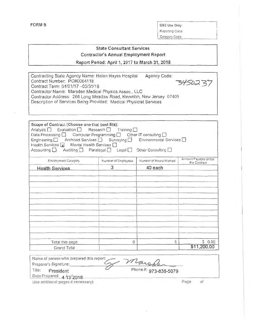Category Code:

## **State Consultant Services Contractor's Annual Employment Report** Report Period: April 1, 2017 to March 31, 2018

| Contracting State Agency Name: Helen Hayes Hospital<br>Contract Number: PO#0064118<br>Contract Term: 04/01/17 -03/31/18<br>Contractor Name: Marsden Medical Physics Assoc., LLC<br>Contractor Address: 266 Long Meadow Road, Kinnelon, New Jersey 07405<br>Description of Services Being Provided: Medical Physicist Services |                                                                                                                                                            | Agency Code:                                                                | 3450231                              |
|-------------------------------------------------------------------------------------------------------------------------------------------------------------------------------------------------------------------------------------------------------------------------------------------------------------------------------|------------------------------------------------------------------------------------------------------------------------------------------------------------|-----------------------------------------------------------------------------|--------------------------------------|
| Scope of Contract (Choose one that best fits):<br>Analysis   Evaluation  <br>Data Processing<br>Engineering $\square$<br>Mental Health Services<br>Health Services $\boxed{\mathbf{x}}$<br>Accounting $\Box$                                                                                                                  | Research <sup>[1]</sup><br>Training $\square$<br>Computer Programming<br>Architect Services □ Surveying □<br>Auditing $\Box$ Paralegal $\Box$ Legal $\Box$ | Other IT consulting $\square$<br>Environmental Services<br>Other Consulting |                                      |
| Employment Category                                                                                                                                                                                                                                                                                                           | Number of Employees                                                                                                                                        | Number of Hours Worked                                                      | Amount Payable Under<br>the Contract |
| <b>Health Services</b>                                                                                                                                                                                                                                                                                                        | 3                                                                                                                                                          | 40 each                                                                     |                                      |
|                                                                                                                                                                                                                                                                                                                               |                                                                                                                                                            |                                                                             |                                      |
|                                                                                                                                                                                                                                                                                                                               |                                                                                                                                                            |                                                                             |                                      |
|                                                                                                                                                                                                                                                                                                                               |                                                                                                                                                            |                                                                             |                                      |
|                                                                                                                                                                                                                                                                                                                               |                                                                                                                                                            |                                                                             |                                      |
| Total this page                                                                                                                                                                                                                                                                                                               | 0                                                                                                                                                          | 0                                                                           | \$ 0.00                              |
| Grand Total                                                                                                                                                                                                                                                                                                                   |                                                                                                                                                            |                                                                             | \$11,200.00                          |

| Name of person who prepared this report: |                       |
|------------------------------------------|-----------------------|
| Preparer's Signature:                    | Marsfer               |
| Title:<br>President                      | Phone #: 973-838-5079 |
| Date Prepared: 4 13/2018                 |                       |

Use additional pages if necessary)

Page of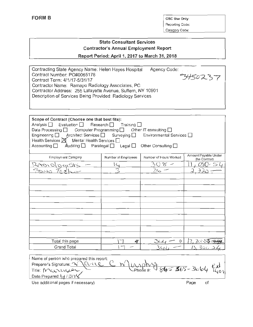Reporting Code: Category Code:

# State Consultant Services Contractor's Annual Employment Report

Report Period: April 1, 2017 to March 31, 2018

| Contracting State Agency Name: Helen Hayes Hospital<br>Contract Number: PO#0065178<br>Contract Term: 4/1/17-5/31/17<br>Contractor Name: Ramapo Radiology Associates, PC<br>Contractor Address: 255 Lafayette Avenue, Suffern, NY 10901<br>Description of Services Being Provided: Radiology Services |                                                                                                             | Agency Code:                                                                      | 3450237                              |
|------------------------------------------------------------------------------------------------------------------------------------------------------------------------------------------------------------------------------------------------------------------------------------------------------|-------------------------------------------------------------------------------------------------------------|-----------------------------------------------------------------------------------|--------------------------------------|
| Scope of Contract (Choose one that best fits):<br>Evaluation $\Box$<br>Analysis <b>□</b><br>Data Processing $\Box$<br>Engineering   Architect Services   Surveying  <br>Health Services $\boxtimes$<br>Mental Health Services  <br>Accounting $\Box$<br>Auditing $\square$                           | Research $\Box$<br>Training $\square$<br>Computer Programming $\square$<br>Paralegal $\Box$<br>Legal $\Box$ | Other IT consulting $\Box$<br>Environmental Services □<br>Other Consulting $\Box$ |                                      |
| Employment Category                                                                                                                                                                                                                                                                                  | Number of Employees                                                                                         | Number of Hours Worked                                                            | Amount Payable Under<br>the Contract |
| DSISTS                                                                                                                                                                                                                                                                                               |                                                                                                             |                                                                                   |                                      |
| / ∈ ಗ<br>とうてい                                                                                                                                                                                                                                                                                        |                                                                                                             |                                                                                   |                                      |
|                                                                                                                                                                                                                                                                                                      |                                                                                                             |                                                                                   |                                      |
|                                                                                                                                                                                                                                                                                                      |                                                                                                             |                                                                                   |                                      |
|                                                                                                                                                                                                                                                                                                      |                                                                                                             |                                                                                   |                                      |
|                                                                                                                                                                                                                                                                                                      |                                                                                                             |                                                                                   |                                      |
|                                                                                                                                                                                                                                                                                                      |                                                                                                             |                                                                                   |                                      |
|                                                                                                                                                                                                                                                                                                      |                                                                                                             |                                                                                   |                                      |
|                                                                                                                                                                                                                                                                                                      |                                                                                                             |                                                                                   |                                      |
|                                                                                                                                                                                                                                                                                                      |                                                                                                             |                                                                                   |                                      |
|                                                                                                                                                                                                                                                                                                      |                                                                                                             |                                                                                   |                                      |
|                                                                                                                                                                                                                                                                                                      |                                                                                                             |                                                                                   |                                      |
| Total this page<br><b>Grand Total</b>                                                                                                                                                                                                                                                                | -B                                                                                                          | 0                                                                                 | 3.<br><b>Reaる</b>                    |
|                                                                                                                                                                                                                                                                                                      |                                                                                                             |                                                                                   |                                      |

Name of person who prepared this report: Preparer's Signature:  $\sqrt{\phantom{a}}$  CV-LL  $\mathbb C$ .  $\frac{1}{2}$  Phone #:  $\frac{1}{645}$   $\frac{1}{565}$  - 3664  $\frac{exb}{1401}$ <u>N</u> Title: MUNUGUE Date Prepared: L<sub>j</sub> / J)/1

Use additional pages if necessary)